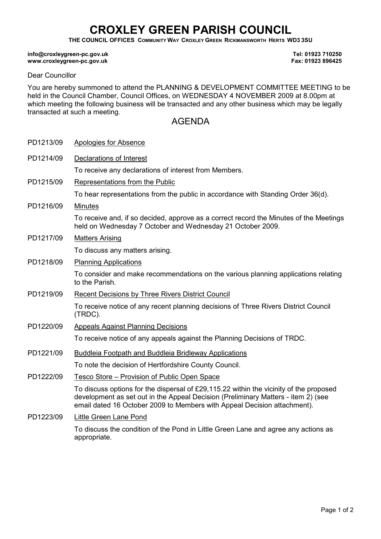## CROXLEY GREEN PARISH COUNCIL

THE COUNCIL OFFICES COMMUNITY WAY CROXLEY GREEN RICKMANSWORTH HERTS WD3 3SU

## info@croxleygreen-pc.gov.uk www.croxleygreen-pc.gov.uk

Tel: 01923 710250 Fax: 01923 896425

## Dear Councillor

You are hereby summoned to attend the PLANNING & DEVELOPMENT COMMITTEE MEETING to be held in the Council Chamber, Council Offices, on WEDNESDAY 4 NOVEMBER 2009 at 8.00pm at which meeting the following business will be transacted and any other business which may be legally transacted at such a meeting.

## AGENDA

| PD1213/09 | Apologies for Absence                                                                                                                                                                                                                                   |
|-----------|---------------------------------------------------------------------------------------------------------------------------------------------------------------------------------------------------------------------------------------------------------|
| PD1214/09 | Declarations of Interest                                                                                                                                                                                                                                |
|           | To receive any declarations of interest from Members.                                                                                                                                                                                                   |
| PD1215/09 | Representations from the Public                                                                                                                                                                                                                         |
|           | To hear representations from the public in accordance with Standing Order 36(d).                                                                                                                                                                        |
| PD1216/09 | <b>Minutes</b>                                                                                                                                                                                                                                          |
|           | To receive and, if so decided, approve as a correct record the Minutes of the Meetings<br>held on Wednesday 7 October and Wednesday 21 October 2009.                                                                                                    |
| PD1217/09 | <b>Matters Arising</b>                                                                                                                                                                                                                                  |
|           | To discuss any matters arising.                                                                                                                                                                                                                         |
| PD1218/09 | <b>Planning Applications</b>                                                                                                                                                                                                                            |
|           | To consider and make recommendations on the various planning applications relating<br>to the Parish.                                                                                                                                                    |
| PD1219/09 | <b>Recent Decisions by Three Rivers District Council</b>                                                                                                                                                                                                |
|           | To receive notice of any recent planning decisions of Three Rivers District Council<br>(TRDC).                                                                                                                                                          |
| PD1220/09 | <b>Appeals Against Planning Decisions</b>                                                                                                                                                                                                               |
|           | To receive notice of any appeals against the Planning Decisions of TRDC.                                                                                                                                                                                |
| PD1221/09 | Buddleia Footpath and Buddleia Bridleway Applications                                                                                                                                                                                                   |
|           | To note the decision of Hertfordshire County Council.                                                                                                                                                                                                   |
| PD1222/09 | Tesco Store – Provision of Public Open Space                                                                                                                                                                                                            |
|           | To discuss options for the dispersal of £29,115.22 within the vicinity of the proposed<br>development as set out in the Appeal Decision (Preliminary Matters - item 2) (see<br>email dated 16 October 2009 to Members with Appeal Decision attachment). |
| PD1223/09 | Little Green Lane Pond                                                                                                                                                                                                                                  |
|           | To discuss the condition of the Pond in Little Green Lane and agree any actions as<br>appropriate.                                                                                                                                                      |